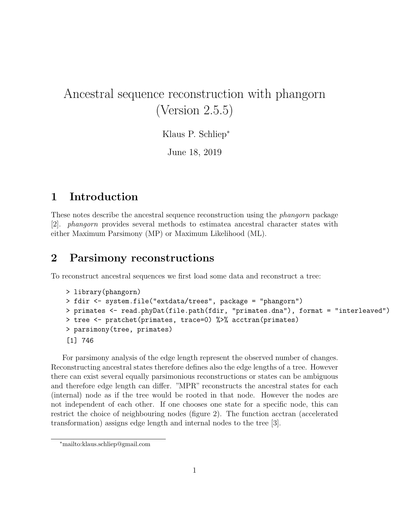# Ancestral sequence reconstruction with phangorn (Version 2.5.5)

Klaus P. Schliep<sup>∗</sup>

June 18, 2019

### 1 Introduction

These notes describe the ancestral sequence reconstruction using the *phangorn* package [2]. phangorn provides several methods to estimatea ancestral character states with either Maximum Parsimony (MP) or Maximum Likelihood (ML).

#### 2 Parsimony reconstructions

To reconstruct ancestral sequences we first load some data and reconstruct a tree:

```
> library(phangorn)
> fdir <- system.file("extdata/trees", package = "phangorn")
> primates <- read.phyDat(file.path(fdir, "primates.dna"), format = "interleaved")
> tree <- pratchet(primates, trace=0) %>% acctran(primates)
> parsimony(tree, primates)
[1] 746
```
For parsimony analysis of the edge length represent the observed number of changes. Reconstructing ancestral states therefore defines also the edge lengths of a tree. However there can exist several equally parsimonious reconstructions or states can be ambiguous and therefore edge length can differ. "MPR" reconstructs the ancestral states for each (internal) node as if the tree would be rooted in that node. However the nodes are not independent of each other. If one chooses one state for a specific node, this can restrict the choice of neighbouring nodes (figure 2). The function acctran (accelerated transformation) assigns edge length and internal nodes to the tree [3].

<sup>∗</sup>mailto:klaus.schliep@gmail.com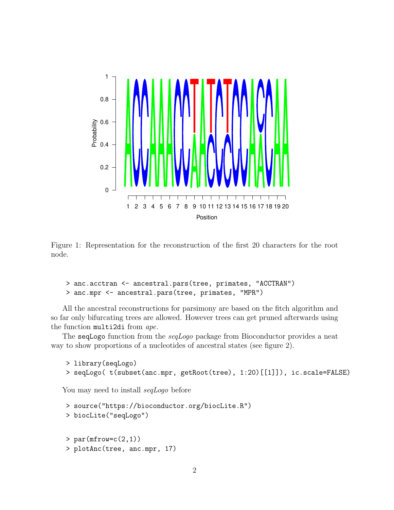

Figure 1: Representation for the reconstruction of the first 20 characters for the root node.

```
> anc.acctran <- ancestral.pars(tree, primates, "ACCTRAN")
> anc.mpr <- ancestral.pars(tree, primates, "MPR")
```
All the ancestral reconstructions for parsimony are based on the fitch algorithm and so far only bifurcating trees are allowed. However trees can get pruned afterwards using the function multi2di from ape.

The seqLogo function from the seqLogo package from Bioconductor provides a neat way to show proportions of a nucleotides of ancestral states (see figure 2).

```
> library(seqLogo)
> seqLogo( t(subset(anc.mpr, getRoot(tree), 1:20)[[1]]), ic.scale=FALSE)
```
You may need to install seqLogo before

```
> source("https://bioconductor.org/biocLite.R")
> biocLite("seqLogo")
> par(mfrow=c(2,1))> plotAnc(tree, anc.mpr, 17)
```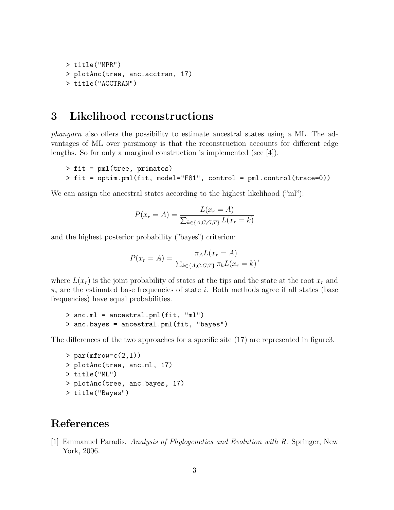```
> title("MPR")
> plotAnc(tree, anc.acctran, 17)
> title("ACCTRAN")
```
#### 3 Likelihood reconstructions

phangorn also offers the possibility to estimate ancestral states using a ML. The advantages of ML over parsimony is that the reconstruction accounts for different edge lengths. So far only a marginal construction is implemented (see [4]).

```
> fit = pml(tree, primates)
> fit = optim.pml(fit, model="F81", control = pml.control(trace=0))
```
We can assign the ancestral states according to the highest likelihood ("ml"):

$$
P(x_r = A) = \frac{L(x_r = A)}{\sum_{k \in \{A, C, G, T\}} L(x_r = k)}
$$

and the highest posterior probability ("bayes") criterion:

$$
P(x_r = A) = \frac{\pi_A L(x_r = A)}{\sum_{k \in \{A, C, G, T\}} \pi_k L(x_r = k)},
$$

where  $L(x_r)$  is the joint probability of states at the tips and the state at the root  $x_r$  and  $\pi_i$  are the estimated base frequencies of state i. Both methods agree if all states (base frequencies) have equal probabilities.

```
> anc.ml = ancestral.pml(fit, "ml")
> anc.bayes = ancestral.pml(fit, "bayes")
```
The differences of the two approaches for a specific site  $(17)$  are represented in figure3.

```
> par(mfrow=c(2,1))> plotAnc(tree, anc.ml, 17)
> title("ML")
> plotAnc(tree, anc.bayes, 17)
> title("Bayes")
```
## References

[1] Emmanuel Paradis. Analysis of Phylogenetics and Evolution with R. Springer, New York, 2006.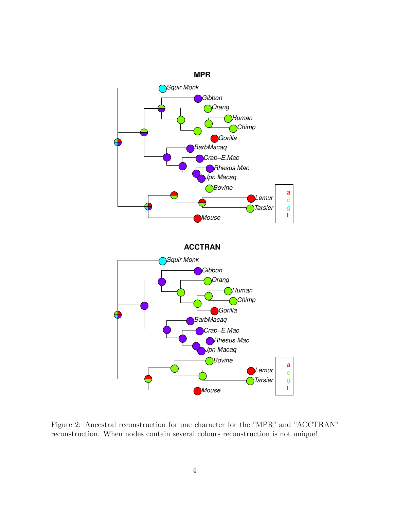

Figure 2: Ancestral reconstruction for one character for the "MPR" and "ACCTRAN" reconstruction. When nodes contain several colours reconstruction is not unique!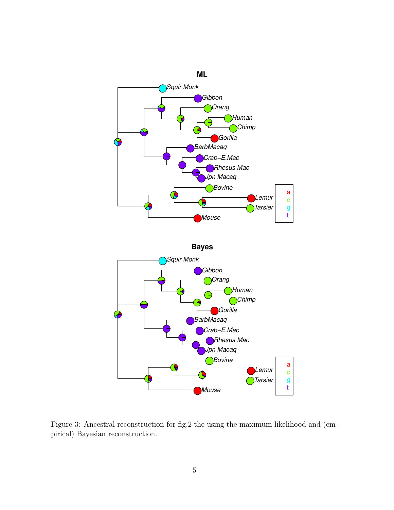

Figure 3: Ancestral reconstruction for fig.2 the using the maximum likelihood and (empirical) Bayesian reconstruction.